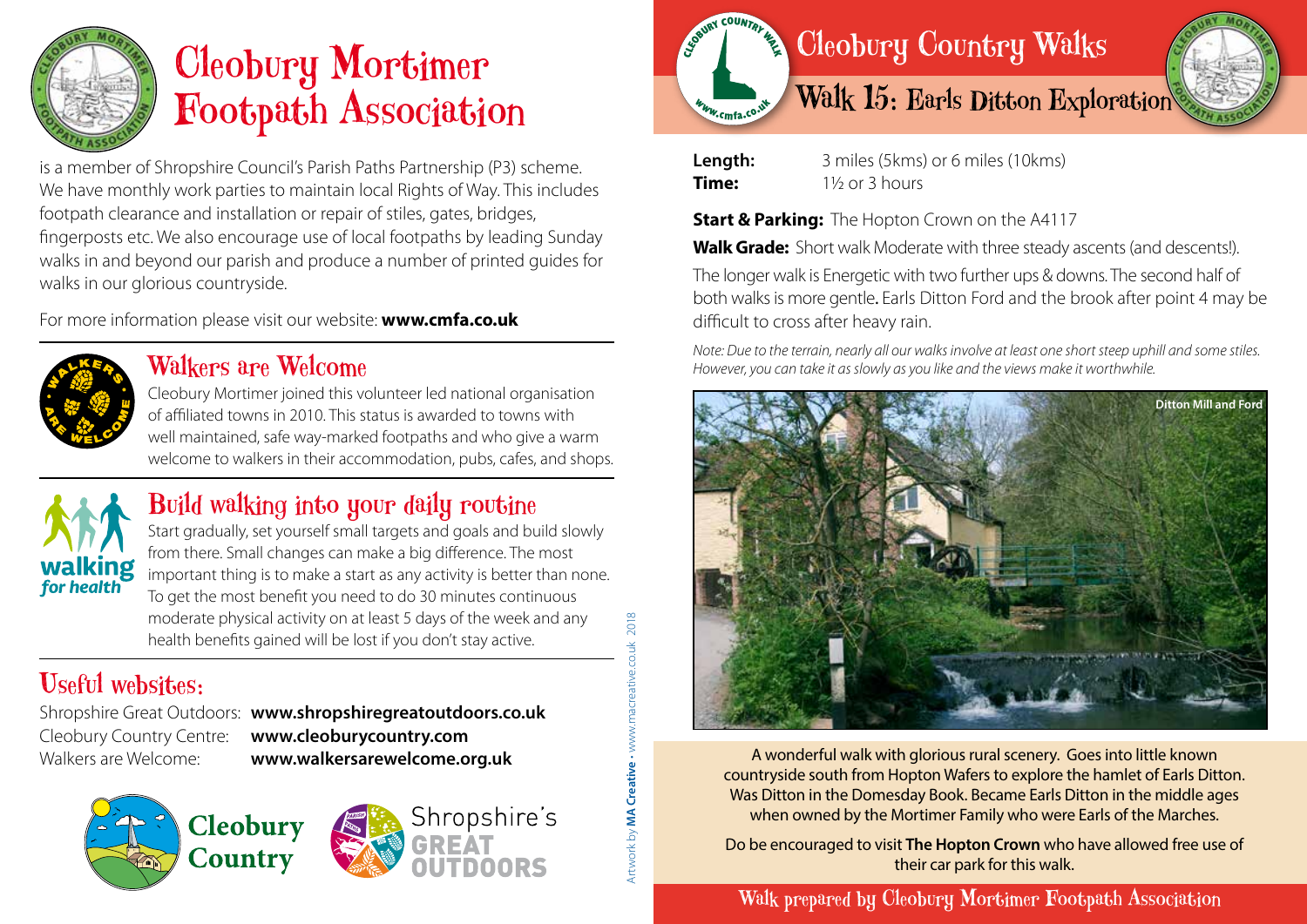

# Cleobury Mortimer Footpath Association

is a member of Shropshire Council's Parish Paths Partnership (P3) scheme. We have monthly work parties to maintain local Rights of Way. This includes footpath clearance and installation or repair of stiles, gates, bridges, fingerposts etc. We also encourage use of local footpaths by leading Sunday walks in and beyond our parish and produce a number of printed guides for walks in our glorious countryside.

For more information please visit our website: **www.cmfa.co.uk**



#### Walkers are Welcome

Cleobury Mortimer joined this volunteer led national organisation of affiliated towns in 2010. This status is awarded to towns with well maintained, safe way-marked footpaths and who give a warm welcome to walkers in their accommodation, pubs, cafes, and shops.



### Build walking into your daily routine

Start gradually, set yourself small targets and goals and build slowly from there. Small changes can make a big difference. The most important thing is to make a start as any activity is better than none. To get the most benefit you need to do 30 minutes continuous moderate physical activity on at least 5 days of the week and any health benefits gained will be lost if you don't stay active.

## Useful websites:

Shropshire Great Outdoors: **www.shropshiregreatoutdoors.co.uk**  Cleobury Country Centre: **www.cleoburycountry.com** Walkers are Welcome: **www.walkersarewelcome.org.uk**

Artwork by **MA Creative** • www.macreative.co.uk 2018

Artwork by **MA Creative - www.m** 

2018

acreative.co.uk





| Length: | 3 miles (5kms) or 6 miles (10kms) |
|---------|-----------------------------------|
| Time:   | $1\frac{1}{2}$ or 3 hours         |

**Start & Parking:** The Hopton Crown on the A4117

**Walk Grade:** Short walk Moderate with three steady ascents (and descents!).

The longer walk is Energetic with two further ups & downs. The second half of both walks is more gentle. Earls Ditton Ford and the brook after point 4 may be difficult to cross after heavy rain.

*Note: Due to the terrain, nearly all our walks involve at least one short steep uphill and some stiles. However, you can take it as slowly as you like and the views make it worthwhile.*



A wonderful walk with glorious rural scenery. Goes into little known countryside south from Hopton Wafers to explore the hamlet of Earls Ditton. Was Ditton in the Domesday Book. Became Earls Ditton in the middle ages when owned by the Mortimer Family who were Earls of the Marches.

Do be encouraged to visit **The Hopton Crown** who have allowed free use of their car park for this walk.

Walk prepared by Cleobury Mortimer Footpath Association